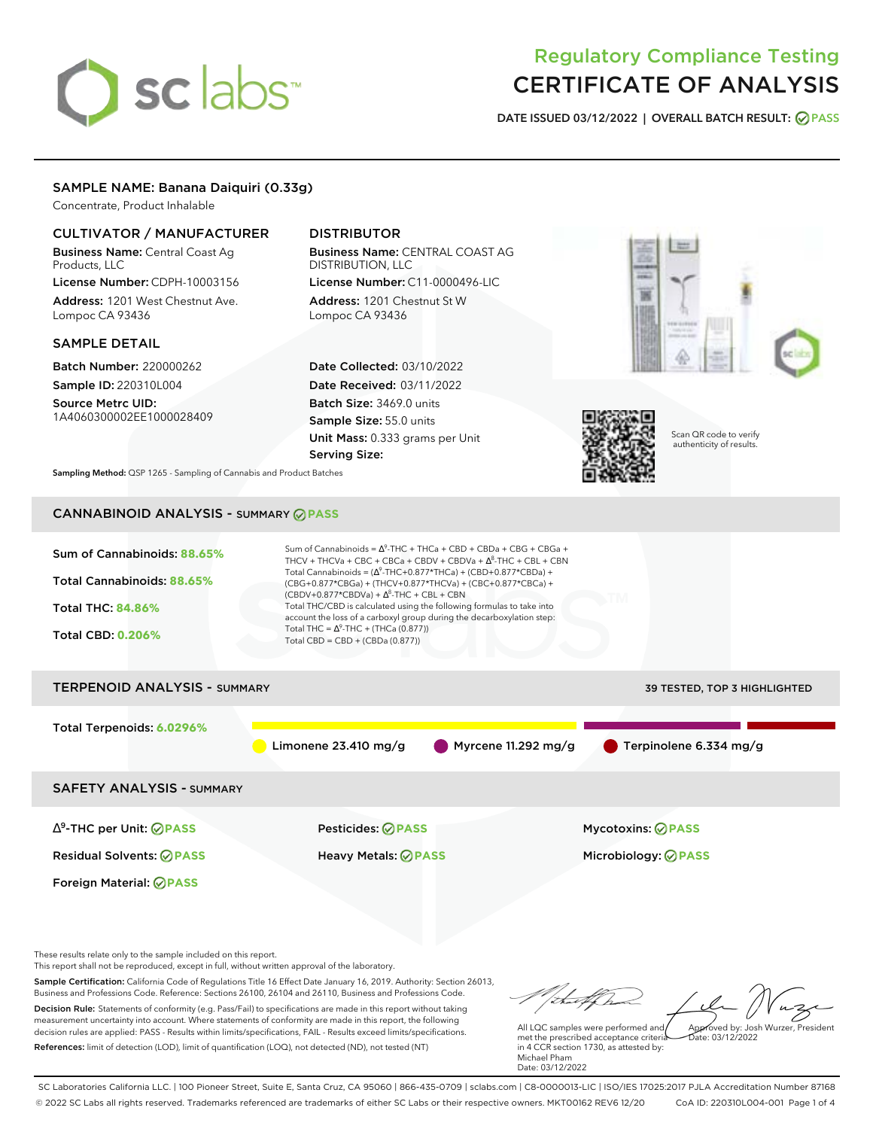# sclabs<sup>\*</sup>

# Regulatory Compliance Testing CERTIFICATE OF ANALYSIS

**DATE ISSUED 03/12/2022 | OVERALL BATCH RESULT: PASS**

# SAMPLE NAME: Banana Daiquiri (0.33g)

Concentrate, Product Inhalable

# CULTIVATOR / MANUFACTURER

Business Name: Central Coast Ag Products, LLC

License Number: CDPH-10003156 Address: 1201 West Chestnut Ave. Lompoc CA 93436

## SAMPLE DETAIL

Batch Number: 220000262 Sample ID: 220310L004

Source Metrc UID: 1A4060300002EE1000028409

# DISTRIBUTOR

Business Name: CENTRAL COAST AG DISTRIBUTION, LLC License Number: C11-0000496-LIC

Address: 1201 Chestnut St W Lompoc CA 93436

Date Collected: 03/10/2022 Date Received: 03/11/2022 Batch Size: 3469.0 units Sample Size: 55.0 units Unit Mass: 0.333 grams per Unit Serving Size:





Scan QR code to verify authenticity of results.

**Sampling Method:** QSP 1265 - Sampling of Cannabis and Product Batches

# CANNABINOID ANALYSIS - SUMMARY **PASS**

| Sum of Cannabinoids: 88.65%<br>Total Cannabinoids: 88.65%<br><b>Total THC: 84.86%</b><br><b>Total CBD: 0.206%</b> | Sum of Cannabinoids = $\Delta^9$ -THC + THCa + CBD + CBDa + CBG + CBGa +<br>THCV + THCVa + CBC + CBCa + CBDV + CBDVa + $\Delta^8$ -THC + CBL + CBN<br>Total Cannabinoids = $(\Delta^9$ -THC+0.877*THCa) + (CBD+0.877*CBDa) +<br>(CBG+0.877*CBGa) + (THCV+0.877*THCVa) + (CBC+0.877*CBCa) +<br>$(CBDV+0.877*CBDVa) + \Delta^8$ -THC + CBL + CBN<br>Total THC/CBD is calculated using the following formulas to take into<br>account the loss of a carboxyl group during the decarboxylation step:<br>Total THC = $\Delta^9$ -THC + (THCa (0.877))<br>Total CBD = $CBD + (CBDa (0.877))$ |                              |
|-------------------------------------------------------------------------------------------------------------------|----------------------------------------------------------------------------------------------------------------------------------------------------------------------------------------------------------------------------------------------------------------------------------------------------------------------------------------------------------------------------------------------------------------------------------------------------------------------------------------------------------------------------------------------------------------------------------------|------------------------------|
| <b>TERPENOID ANALYSIS - SUMMARY</b>                                                                               |                                                                                                                                                                                                                                                                                                                                                                                                                                                                                                                                                                                        | 39 TESTED, TOP 3 HIGHLIGHTED |
| Total Terpenoids: 6.0296%                                                                                         | Myrcene 11.292 mg/g<br>Limonene $23.410$ mg/g                                                                                                                                                                                                                                                                                                                                                                                                                                                                                                                                          | Terpinolene 6.334 mg/g       |
| <b>SAFETY ANALYSIS - SUMMARY</b>                                                                                  |                                                                                                                                                                                                                                                                                                                                                                                                                                                                                                                                                                                        |                              |
| $\Delta^9$ -THC per Unit: $\oslash$ PASS                                                                          | Pesticides: <b>⊘</b> PASS                                                                                                                                                                                                                                                                                                                                                                                                                                                                                                                                                              | <b>Mycotoxins: ⊘PASS</b>     |

Foreign Material: **PASS**

Residual Solvents: **PASS** Heavy Metals: **PASS** Microbiology: **PASS**

These results relate only to the sample included on this report.

This report shall not be reproduced, except in full, without written approval of the laboratory.

Sample Certification: California Code of Regulations Title 16 Effect Date January 16, 2019. Authority: Section 26013, Business and Professions Code. Reference: Sections 26100, 26104 and 26110, Business and Professions Code. Decision Rule: Statements of conformity (e.g. Pass/Fail) to specifications are made in this report without taking measurement uncertainty into account. Where statements of conformity are made in this report, the following decision rules are applied: PASS - Results within limits/specifications, FAIL - Results exceed limits/specifications.

References: limit of detection (LOD), limit of quantification (LOQ), not detected (ND), not tested (NT)

tu f Ch Approved by: Josh Wurzer, President

Date: 03/12/2022

All LQC samples were performed and met the prescribed acceptance criteria in 4 CCR section 1730, as attested by: Michael Pham Date: 03/12/2022

SC Laboratories California LLC. | 100 Pioneer Street, Suite E, Santa Cruz, CA 95060 | 866-435-0709 | sclabs.com | C8-0000013-LIC | ISO/IES 17025:2017 PJLA Accreditation Number 87168 © 2022 SC Labs all rights reserved. Trademarks referenced are trademarks of either SC Labs or their respective owners. MKT00162 REV6 12/20 CoA ID: 220310L004-001 Page 1 of 4